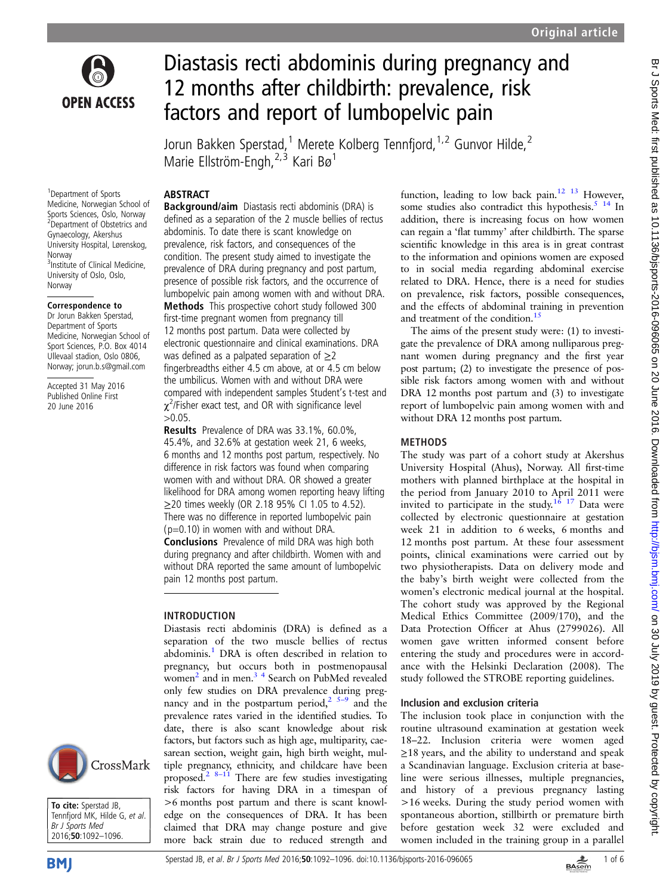

# Diastasis recti abdominis during pregnancy and 12 months after childbirth: prevalence, risk factors and report of lumbopelvic pain

Jorun Bakken Sperstad,<sup>1</sup> Merete Kolberg Tennfjord,<sup>1,2</sup> Gunvor Hilde,<sup>2</sup> Marie Ellström-Engh,  $2,3$  Kari Bø<sup>1</sup>

#### ABSTRACT

1 Department of Sports Medicine, Norwegian School of Sports Sciences, Oslo, Norway <sup>2</sup>Department of Obstetrics and Gynaecology, Akershus University Hospital, Lørenskog, Norway <sup>3</sup>Institute of Clinical Medicine, University of Oslo, Oslo, Norway

#### Correspondence to

Dr Jorun Bakken Sperstad, Department of Sports Medicine, Norwegian School of Sport Sciences, P.O. Box 4014 Ullevaal stadion, Oslo 0806, Norway; jorun.b.s@gmail.com

Accepted 31 May 2016 Published Online First 20 June 2016





Background/aim Diastasis recti abdominis (DRA) is defined as a separation of the 2 muscle bellies of rectus abdominis. To date there is scant knowledge on prevalence, risk factors, and consequences of the condition. The present study aimed to investigate the prevalence of DRA during pregnancy and post partum, presence of possible risk factors, and the occurrence of lumbopelvic pain among women with and without DRA. Methods This prospective cohort study followed 300 first-time pregnant women from pregnancy till 12 months post partum. Data were collected by electronic questionnaire and clinical examinations. DRA was defined as a palpated separation of  $\geq$ 2 fingerbreadths either 4.5 cm above, at or 4.5 cm below the umbilicus. Women with and without DRA were compared with independent samples Student's t-test and  $\chi^2$ /Fisher exact test, and OR with significance level

 $>0.05$ . Results Prevalence of DRA was 33.1%, 60.0%, 45.4%, and 32.6% at gestation week 21, 6 weeks, 6 months and 12 months post partum, respectively. No difference in risk factors was found when comparing women with and without DRA. OR showed a greater likelihood for DRA among women reporting heavy lifting ≥20 times weekly (OR 2.18 95% CI 1.05 to 4.52). There was no difference in reported lumbopelvic pain (p=0.10) in women with and without DRA.

Conclusions Prevalence of mild DRA was high both during pregnancy and after childbirth. Women with and without DRA reported the same amount of lumbopelvic pain 12 months post partum.

#### INTRODUCTION

Diastasis recti abdominis (DRA) is defined as a separation of the two muscle bellies of rectus abdominis.<sup>[1](#page-5-0)</sup> DRA is often described in relation to pregnancy, but occurs both in postmenopausal women<sup>2</sup> and in men.<sup>3</sup> <sup>4</sup> Search on PubMed revealed only few studies on DRA prevalence during preg-nancy and in the postpartum period,<sup>[2](#page-5-0) 5–[9](#page-5-0)</sup> and the prevalence rates varied in the identified studies. To date, there is also scant knowledge about risk factors, but factors such as high age, multiparity, caesarean section, weight gain, high birth weight, multiple pregnancy, ethnicity, and childcare have been proposed.<sup>2 8–[11](#page-5-0)</sup> There are few studies investigating risk factors for having DRA in a timespan of >6 months post partum and there is scant knowledge on the consequences of DRA. It has been claimed that DRA may change posture and give more back strain due to reduced strength and

function, leading to low back pain.<sup>12 13</sup> However, some studies also contradict this hypothesis.<sup>5</sup> <sup>14</sup> In addition, there is increasing focus on how women can regain a 'flat tummy' after childbirth. The sparse scientific knowledge in this area is in great contrast to the information and opinions women are exposed to in social media regarding abdominal exercise related to DRA. Hence, there is a need for studies on prevalence, risk factors, possible consequences, and the effects of abdominal training in prevention and treatment of the condition.<sup>[15](#page-5-0)</sup>

The aims of the present study were: (1) to investigate the prevalence of DRA among nulliparous pregnant women during pregnancy and the first year post partum; (2) to investigate the presence of possible risk factors among women with and without DRA 12 months post partum and (3) to investigate report of lumbopelvic pain among women with and without DRA 12 months post partum.

# METHODS

The study was part of a cohort study at Akershus University Hospital (Ahus), Norway. All first-time mothers with planned birthplace at the hospital in the period from January 2010 to April 2011 were invited to participate in the study.<sup>[16 17](#page-5-0)</sup> Data were collected by electronic questionnaire at gestation week 21 in addition to 6 weeks, 6 months and 12 months post partum. At these four assessment points, clinical examinations were carried out by two physiotherapists. Data on delivery mode and the baby's birth weight were collected from the women's electronic medical journal at the hospital. The cohort study was approved by the Regional Medical Ethics Committee (2009/170), and the Data Protection Officer at Ahus (2799026). All women gave written informed consent before entering the study and procedures were in accordance with the Helsinki Declaration (2008). The study followed the STROBE reporting guidelines.

# Inclusion and exclusion criteria

The inclusion took place in conjunction with the routine ultrasound examination at gestation week 18–22. Inclusion criteria were women aged ≥18 years, and the ability to understand and speak a Scandinavian language. Exclusion criteria at baseline were serious illnesses, multiple pregnancies, and history of a previous pregnancy lasting >16 weeks. During the study period women with spontaneous abortion, stillbirth or premature birth before gestation week 32 were excluded and women included in the training group in a parallel



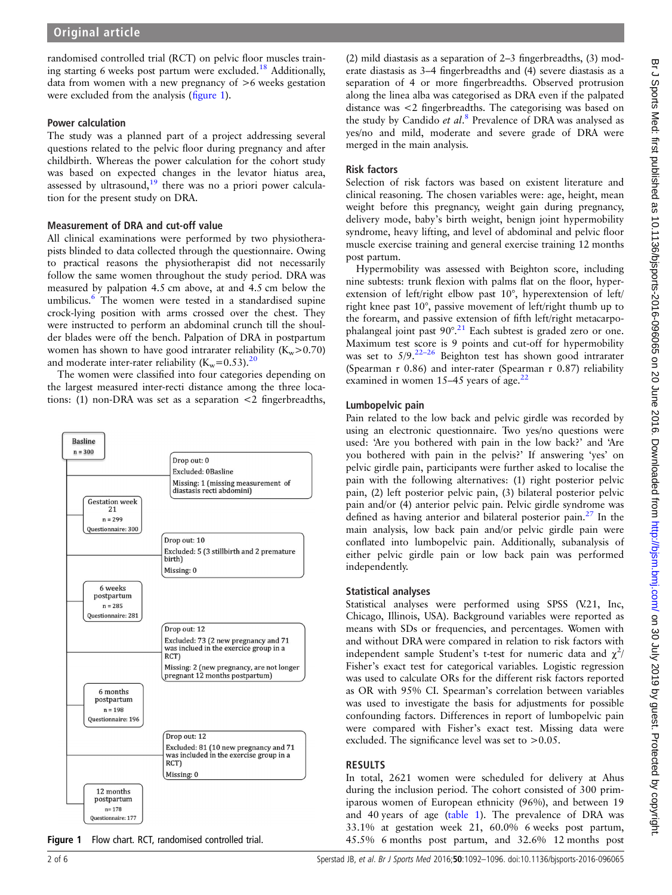randomised controlled trial (RCT) on pelvic floor muscles training starting 6 weeks post partum were excluded.[18](#page-5-0) Additionally, data from women with a new pregnancy of >6 weeks gestation were excluded from the analysis (figure 1).

#### Power calculation

The study was a planned part of a project addressing several questions related to the pelvic floor during pregnancy and after childbirth. Whereas the power calculation for the cohort study was based on expected changes in the levator hiatus area, assessed by ultrasound, $19$  there was no a priori power calculation for the present study on DRA.

#### Measurement of DRA and cut-off value

All clinical examinations were performed by two physiotherapists blinded to data collected through the questionnaire. Owing to practical reasons the physiotherapist did not necessarily follow the same women throughout the study period. DRA was measured by palpation 4.5 cm above, at and 4.5 cm below the umbilicus.<sup>[6](#page-5-0)</sup> The women were tested in a standardised supine crock-lying position with arms crossed over the chest. They were instructed to perform an abdominal crunch till the shoulder blades were off the bench. Palpation of DRA in postpartum women has shown to have good intrarater reliability  $(K_w > 0.70)$ and moderate inter-rater reliability  $(K_w=0.53).^{20}$  $(K_w=0.53).^{20}$  $(K_w=0.53).^{20}$ 

The women were classified into four categories depending on the largest measured inter-recti distance among the three locations: (1) non-DRA was set as a separation  $\leq 2$  fingerbreadths,



(2) mild diastasis as a separation of 2–3 fingerbreadths, (3) moderate diastasis as 3–4 fingerbreadths and (4) severe diastasis as a separation of 4 or more fingerbreadths. Observed protrusion along the linea alba was categorised as DRA even if the palpated distance was <2 fingerbreadths. The categorising was based on the study by Candido et al.<sup>[8](#page-5-0)</sup> Prevalence of DRA was analysed as yes/no and mild, moderate and severe grade of DRA were merged in the main analysis.

#### Risk factors

Selection of risk factors was based on existent literature and clinical reasoning. The chosen variables were: age, height, mean weight before this pregnancy, weight gain during pregnancy, delivery mode, baby's birth weight, benign joint hypermobility syndrome, heavy lifting, and level of abdominal and pelvic floor muscle exercise training and general exercise training 12 months post partum.

Hypermobility was assessed with Beighton score, including nine subtests: trunk flexion with palms flat on the floor, hyperextension of left/right elbow past 10°, hyperextension of left/ right knee past 10°, passive movement of left/right thumb up to the forearm, and passive extension of fifth left/right metacarpophalangeal joint past 90°.<sup>21</sup> Each subtest is graded zero or one. Maximum test score is 9 points and cut-off for hypermobility was set to 5/9.<sup>22-[26](#page-5-0)</sup> Beighton test has shown good intrarater (Spearman r 0.86) and inter-rater (Spearman r 0.87) reliability examined in women  $15-45$  years of age.<sup>[22](#page-5-0)</sup>

#### Lumbopelvic pain

Pain related to the low back and pelvic girdle was recorded by using an electronic questionnaire. Two yes/no questions were used: 'Are you bothered with pain in the low back?' and 'Are you bothered with pain in the pelvis?' If answering 'yes' on pelvic girdle pain, participants were further asked to localise the pain with the following alternatives: (1) right posterior pelvic pain, (2) left posterior pelvic pain, (3) bilateral posterior pelvic pain and/or (4) anterior pelvic pain. Pelvic girdle syndrome was defined as having anterior and bilateral posterior pain.<sup>[27](#page-5-0)</sup> In the main analysis, low back pain and/or pelvic girdle pain were conflated into lumbopelvic pain. Additionally, subanalysis of either pelvic girdle pain or low back pain was performed independently.

#### Statistical analyses

Statistical analyses were performed using SPSS (V.21, Inc, Chicago, Illinois, USA). Background variables were reported as means with SDs or frequencies, and percentages. Women with and without DRA were compared in relation to risk factors with independent sample Student's t-test for numeric data and  $\chi^2$ / Fisher's exact test for categorical variables. Logistic regression was used to calculate ORs for the different risk factors reported as OR with 95% CI. Spearman's correlation between variables was used to investigate the basis for adjustments for possible confounding factors. Differences in report of lumbopelvic pain were compared with Fisher's exact test. Missing data were excluded. The significance level was set to >0.05.

#### RESULTS

In total, 2621 women were scheduled for delivery at Ahus during the inclusion period. The cohort consisted of 300 primiparous women of European ethnicity (96%), and between 19 and 40 years of age [\(table 1\)](#page-2-0). The prevalence of DRA was 33.1% at gestation week 21, 60.0% 6 weeks post partum, Figure 1 Flow chart. RCT, randomised controlled trial. 45.5% 6 months post partum, and 32.6% 12 months post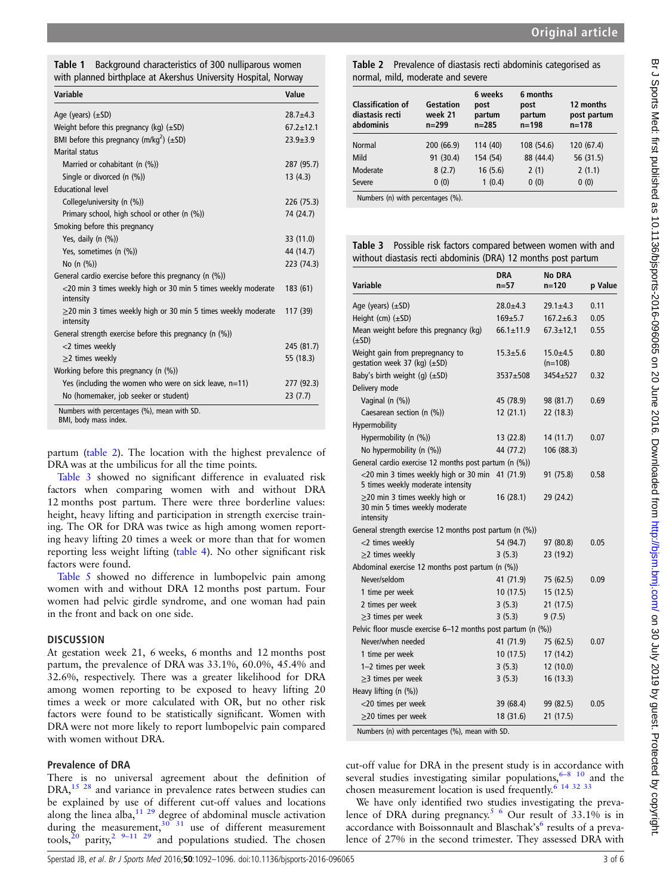<span id="page-2-0"></span>

|  | Table 1 Background characteristics of 300 nulliparous women     |  |  |
|--|-----------------------------------------------------------------|--|--|
|  | with planned birthplace at Akershus University Hospital, Norway |  |  |

| Variable                                                                         | Value           |
|----------------------------------------------------------------------------------|-----------------|
| Age (years) $(\pm SD)$                                                           | $28.7 + 4.3$    |
| Weight before this pregnancy (kg) $(\pm SD)$                                     | $67.2 \pm 12.1$ |
| BMI before this pregnancy $(m/kg2)$ ( $\pm$ SD)                                  | $23.9 + 3.9$    |
| Marital status                                                                   |                 |
| Married or cohabitant (n (%))                                                    | 287 (95.7)      |
| Single or divorced (n (%))                                                       | 13(4.3)         |
| <b>Educational level</b>                                                         |                 |
| College/university (n (%))                                                       | 226 (75.3)      |
| Primary school, high school or other (n (%))                                     | 74 (24.7)       |
| Smoking before this pregnancy                                                    |                 |
| Yes, daily $(n \ (\%)$                                                           | 33 (11.0)       |
| Yes, sometimes (n (%))                                                           | 44 (14.7)       |
| No $(n (%))$                                                                     | 223 (74.3)      |
| General cardio exercise before this pregnancy (n (%))                            |                 |
| <20 min 3 times weekly high or 30 min 5 times weekly moderate<br>intensity       | 183(61)         |
| $\geq$ 20 min 3 times weekly high or 30 min 5 times weekly moderate<br>intensity | 117 (39)        |
| General strength exercise before this pregnancy (n (%))                          |                 |
| <2 times weekly                                                                  | 245 (81.7)      |
| $\geq$ 2 times weekly                                                            | 55 (18.3)       |
| Working before this pregnancy (n (%))                                            |                 |
| Yes (including the women who were on sick leave, $n=11$ )                        | 277 (92.3)      |
| No (homemaker, job seeker or student)                                            | 23(7.7)         |

partum (table 2). The location with the highest prevalence of DRA was at the umbilicus for all the time points.

Table 3 showed no significant difference in evaluated risk factors when comparing women with and without DRA 12 months post partum. There were three borderline values: height, heavy lifting and participation in strength exercise training. The OR for DRA was twice as high among women reporting heavy lifting 20 times a week or more than that for women reporting less weight lifting [\(table 4](#page-3-0)). No other significant risk factors were found.

[Table 5](#page-3-0) showed no difference in lumbopelvic pain among women with and without DRA 12 months post partum. Four women had pelvic girdle syndrome, and one woman had pain in the front and back on one side.

#### **DISCUSSION**

At gestation week 21, 6 weeks, 6 months and 12 months post partum, the prevalence of DRA was 33.1%, 60.0%, 45.4% and 32.6%, respectively. There was a greater likelihood for DRA among women reporting to be exposed to heavy lifting 20 times a week or more calculated with OR, but no other risk factors were found to be statistically significant. Women with DRA were not more likely to report lumbopelvic pain compared with women without DRA.

# Prevalence of DRA

There is no universal agreement about the definition of DRA,<sup>[15 28](#page-5-0)</sup> and variance in prevalence rates between studies can be explained by use of different cut-off values and locations along the linea alba, $11^{29}$  degree of abdominal muscle activation during the measurement, $30^{3}$  31 use of different measurement tools,  $\frac{20}{2}$  $\frac{20}{2}$  $\frac{20}{2}$  $\frac{20}{2}$  $\frac{20}{2}$  parity,<sup>2</sup> 9-[11 29](#page-5-0) and populations studied. The chosen

Table 2 Prevalence of diastasis recti abdominis categorised as normal, mild, moderate and severe

| <b>Classification of</b><br>diastasis recti<br>abdominis | Gestation<br>week 21<br>$n = 299$ | 6 weeks<br>post<br>partum<br>$n = 285$ | 6 months<br>post<br>partum<br>$n = 198$ | 12 months<br>post partum<br>$n = 178$ |
|----------------------------------------------------------|-----------------------------------|----------------------------------------|-----------------------------------------|---------------------------------------|
| Normal                                                   | 200 (66.9)                        | 114 (40)                               | 108 (54.6)                              | 120 (67.4)                            |
| Mild                                                     | 91 (30.4)                         | 154 (54)                               | 88 (44.4)                               | 56 (31.5)                             |
| Moderate                                                 | 8(2.7)                            | 16(5.6)                                | 2(1)                                    | 2(1.1)                                |
| Severe                                                   | 0(0)                              | 1(0.4)                                 | 0(0)                                    | 0(0)                                  |

Numbers (n) with percentages (%).

| Table 3 Possible risk factors compared between women with and |
|---------------------------------------------------------------|
| without diastasis recti abdominis (DRA) 12 months post partum |

| Variable                                                                            | <b>DRA</b><br>$n = 57$ | <b>No DRA</b><br>$n = 120$ | p Value |
|-------------------------------------------------------------------------------------|------------------------|----------------------------|---------|
| Age (years) $(\pm SD)$                                                              | $28.0 + 4.3$           | $29.1 + 4.3$               | 0.11    |
| Height (cm) $(\pm SD)$                                                              | $169+5.7$              | $167.2 + 6.3$              | 0.05    |
| Mean weight before this pregnancy (kg)<br>$(\pm SD)$                                | $66.1 \pm 11.9$        | $67.3 \pm 12.1$            | 0.55    |
| Weight gain from prepregnancy to<br>gestation week 37 (kg) $(\pm SD)$               | $15.3 + 5.6$           | $15.0 + 4.5$<br>$(n=108)$  | 0.80    |
| Baby's birth weight (g) $(\pm SD)$                                                  | $3537 + 508$           | $3454 + 527$               | 0.32    |
| Delivery mode                                                                       |                        |                            |         |
| Vaginal (n (%))                                                                     | 45 (78.9)              | 98 (81.7)                  | 0.69    |
| Caesarean section (n (%))                                                           | 12(21.1)               | 22 (18.3)                  |         |
| Hypermobility                                                                       |                        |                            |         |
| Hypermobility (n (%))                                                               | 13(22.8)               | 14 (11.7)                  | 0.07    |
| No hypermobility (n (%))                                                            | 44 (77.2)              | 106 (88.3)                 |         |
| General cardio exercise 12 months post partum (n (%))                               |                        |                            |         |
| <20 min 3 times weekly high or 30 min<br>5 times weekly moderate intensity          | 41 (71.9)              | 91 (75.8)                  | 0.58    |
| $\geq$ 20 min 3 times weekly high or<br>30 min 5 times weekly moderate<br>intensity | 16(28.1)               | 29 (24.2)                  |         |
| General strength exercise 12 months post partum (n (%))                             |                        |                            |         |
| <2 times weekly                                                                     | 54 (94.7)              | 97 (80.8)                  | 0.05    |
| $\geq$ 2 times weekly                                                               | 3(5.3)                 | 23 (19.2)                  |         |
| Abdominal exercise 12 months post partum (n (%))                                    |                        |                            |         |
| Never/seldom                                                                        | 41 (71.9)              | 75 (62.5)                  | 0.09    |
| 1 time per week                                                                     | 10 (17.5)              | 15 (12.5)                  |         |
| 2 times per week                                                                    | 3(5.3)                 | 21 (17.5)                  |         |
| $\geq$ 3 times per week                                                             | 3(5.3)                 | 9(7.5)                     |         |
| Pelvic floor muscle exercise 6-12 months post partum (n (%))                        |                        |                            |         |
| Never/when needed                                                                   | 41 (71.9)              | 75 (62.5)                  | 0.07    |
| 1 time per week                                                                     | 10 (17.5)              | 17 (14.2)                  |         |
| 1-2 times per week                                                                  | 3(5.3)                 | 12 (10.0)                  |         |
| $\geq$ 3 times per week                                                             | 3(5.3)                 | 16 (13.3)                  |         |
| Heavy lifting (n (%))                                                               |                        |                            |         |
| <20 times per week                                                                  | 39 (68.4)              | 99 (82.5)                  | 0.05    |
| $\geq$ 20 times per week                                                            | 18 (31.6)              | 21 (17.5)                  |         |

Numbers (n) with percentages (%), mean with SD.

cut-off value for DRA in the present study is in accordance with several studies investigating similar populations, $6-8$  [10](#page-5-0) and the chosen measurement location is used frequently.<sup>6</sup> <sup>14 32 33</sup>

We have only identified two studies investigating the preva-lence of DRA during pregnancy.<sup>[5 6](#page-5-0)</sup> Our result of  $33.1\%$  is in accordance with Boissonnault and Blaschak's<sup>[6](#page-5-0)</sup> results of a prevalence of 27% in the second trimester. They assessed DRA with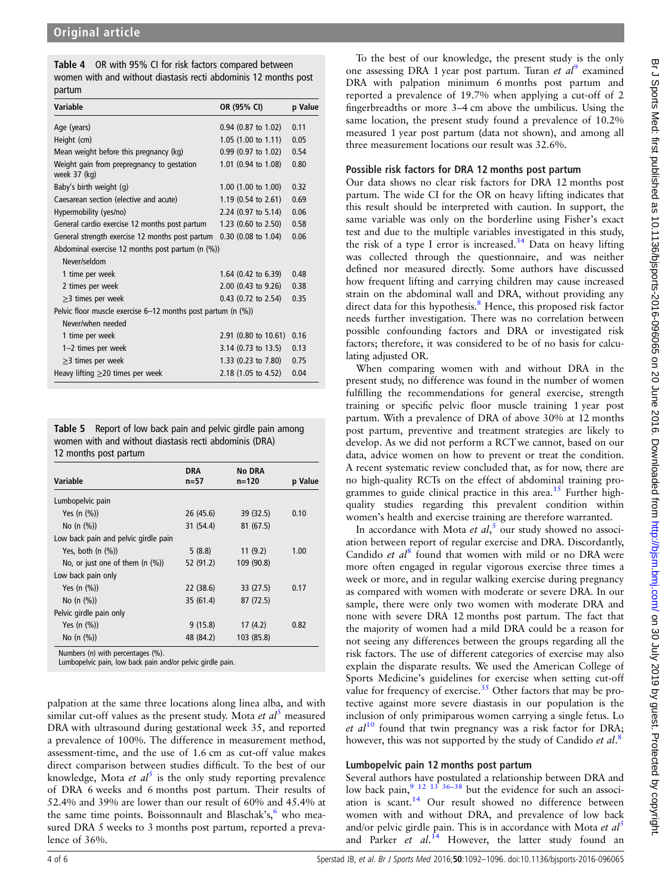<span id="page-3-0"></span>

|        | Table 4 OR with 95% CI for risk factors compared between        |
|--------|-----------------------------------------------------------------|
|        | women with and without diastasis recti abdominis 12 months post |
| partum |                                                                 |

| Variable                                                           | OR (95% CI)                    | p Value |  |  |  |
|--------------------------------------------------------------------|--------------------------------|---------|--|--|--|
| Age (years)                                                        | 0.94 (0.87 to 1.02)            | 0.11    |  |  |  |
| Height (cm)                                                        | 1.05 $(1.00 \text{ to } 1.11)$ | 0.05    |  |  |  |
| Mean weight before this pregnancy (kg)                             | 0.99 (0.97 to 1.02)            | 0.54    |  |  |  |
| Weight gain from prepregnancy to gestation<br>week 37 (kg)         | 1.01 (0.94 to 1.08)            | 0.80    |  |  |  |
| Baby's birth weight (g)                                            | 1.00 (1.00 to 1.00)            | 0.32    |  |  |  |
| Caesarean section (elective and acute)                             | 1.19 (0.54 to 2.61)            | 0.69    |  |  |  |
| Hypermobility (yes/no)                                             | 2.24 (0.97 to 5.14)            | 0.06    |  |  |  |
| General cardio exercise 12 months post partum                      | 1.23 (0.60 to 2.50)            | 0.58    |  |  |  |
| General strength exercise 12 months post partum                    | 0.30 (0.08 to 1.04)            | 0.06    |  |  |  |
| Abdominal exercise 12 months post partum (n (%))                   |                                |         |  |  |  |
| Never/seldom                                                       |                                |         |  |  |  |
| 1 time per week                                                    | 1.64 $(0.42 \text{ to } 6.39)$ | 0.48    |  |  |  |
| 2 times per week                                                   | 2.00 (0.43 to 9.26)            | 0.38    |  |  |  |
| $\geq$ 3 times per week                                            | 0.43 (0.72 to 2.54)            | 0.35    |  |  |  |
| Pelvic floor muscle exercise $6-12$ months post partum (n $(\%)$ ) |                                |         |  |  |  |
| Never/when needed                                                  |                                |         |  |  |  |
| 1 time per week                                                    | 2.91 (0.80 to 10.61)           | 0.16    |  |  |  |
| 1-2 times per week                                                 | 3.14 (0.73 to 13.5)            | 0.13    |  |  |  |
| $\geq$ 3 times per week                                            | 1.33 (0.23 to 7.80)            | 0.75    |  |  |  |
| Heavy lifting $\geq$ 20 times per week                             | 2.18 (1.05 to 4.52)            | 0.04    |  |  |  |

Table 5 Report of low back pain and pelvic girdle pain among women with and without diastasis recti abdominis (DRA) 12 months post partum

| <b>Variable</b>                      | <b>DRA</b><br>n=57 | No DRA<br>n=120 | p Value |
|--------------------------------------|--------------------|-----------------|---------|
|                                      |                    |                 |         |
| Lumbopelvic pain                     |                    |                 |         |
| Yes $(n (%))$                        | 26(45.6)           | 39 (32.5)       | 0.10    |
| No $(n (%))$                         | 31 (54.4)          | 81 (67.5)       |         |
| Low back pain and pelvic girdle pain |                    |                 |         |
| Yes, both $(n \ (\%))$               | 5(8.8)             | 11(9.2)         | 1.00    |
| No, or just one of them $(n \ (\%))$ | 52 (91.2)          | 109 (90.8)      |         |
| Low back pain only                   |                    |                 |         |
| Yes $(n (%))$                        | 22(38.6)           | 33 (27.5)       | 0.17    |
| No $(n (%))$                         | 35(61.4)           | 87 (72.5)       |         |
| Pelvic girdle pain only              |                    |                 |         |
| Yes $(n (%))$                        | 9(15.8)            | 17(4.2)         | 0.82    |
| No $(n (%))$                         | 48 (84.2)          | 103 (85.8)      |         |
| Numbers (n) with percentages (%).    |                    |                 |         |

Numbers (n) with percentages (%). Lumbopelvic pain, low back pain and/or pelvic girdle pain.

palpation at the same three locations along linea alba, and with similar cut-off values as the present study. Mota *et al*<sup>[5](#page-5-0)</sup> measured DRA with ultrasound during gestational week 35, and reported a prevalence of 100%. The difference in measurement method, assessment-time, and the use of 1.6 cm as cut-off value makes direct comparison between studies difficult. To the best of our knowledge, Mota *et al*<sup>[5](#page-5-0)</sup> is the only study reporting prevalence of DRA 6 weeks and 6 months post partum. Their results of 52.4% and 39% are lower than our result of 60% and 45.4% at the same time points. Boissonnault and Blaschak's, $6$  who measured DRA 5 weeks to 3 months post partum, reported a prevalence of 36%.

To the best of our knowledge, the present study is the only one assessing DRA 1 year post partum. Turan et  $al^9$  $al^9$  examined DRA with palpation minimum 6 months post partum and reported a prevalence of 19.7% when applying a cut-off of 2 fingerbreadths or more 3–4 cm above the umbilicus. Using the same location, the present study found a prevalence of 10.2% measured 1 year post partum (data not shown), and among all three measurement locations our result was 32.6%.

#### Possible risk factors for DRA 12 months post partum

Our data shows no clear risk factors for DRA 12 months post partum. The wide CI for the OR on heavy lifting indicates that this result should be interpreted with caution. In support, the same variable was only on the borderline using Fisher's exact test and due to the multiple variables investigated in this study, the risk of a type I error is increased.<sup>[34](#page-5-0)</sup> Data on heavy lifting was collected through the questionnaire, and was neither defined nor measured directly. Some authors have discussed how frequent lifting and carrying children may cause increased strain on the abdominal wall and DRA, without providing any direct data for this hypothesis. $\frac{8}{3}$  Hence, this proposed risk factor needs further investigation. There was no correlation between possible confounding factors and DRA or investigated risk factors; therefore, it was considered to be of no basis for calculating adjusted OR.

When comparing women with and without DRA in the present study, no difference was found in the number of women fulfilling the recommendations for general exercise, strength training or specific pelvic floor muscle training 1 year post partum. With a prevalence of DRA of above 30% at 12 months post partum, preventive and treatment strategies are likely to develop. As we did not perform a RCT we cannot, based on our data, advice women on how to prevent or treat the condition. A recent systematic review concluded that, as for now, there are no high-quality RCTs on the effect of abdominal training pro-grammes to guide clinical practice in this area.<sup>[15](#page-5-0)</sup> Further highquality studies regarding this prevalent condition within women's health and exercise training are therefore warranted.

In accordance with Mota et  $al$ <sup>[5](#page-5-0)</sup>, our study showed no association between report of regular exercise and DRA. Discordantly, Candido et  $al^8$  $al^8$  found that women with mild or no DRA were more often engaged in regular vigorous exercise three times a week or more, and in regular walking exercise during pregnancy as compared with women with moderate or severe DRA. In our sample, there were only two women with moderate DRA and none with severe DRA 12 months post partum. The fact that the majority of women had a mild DRA could be a reason for not seeing any differences between the groups regarding all the risk factors. The use of different categories of exercise may also explain the disparate results. We used the American College of Sports Medicine's guidelines for exercise when setting cut-off value for frequency of exercise. $35$  Other factors that may be protective against more severe diastasis in our population is the inclusion of only primiparous women carrying a single fetus. Lo et  $al^{10}$  $al^{10}$  $al^{10}$  found that twin pregnancy was a risk factor for DRA; however, this was not supported by the study of Candido et al.<sup>[8](#page-5-0)</sup>

# Lumbopelvic pain 12 months post partum

Several authors have postulated a relationship between DRA and low back pain,  $9^{9}$   $12^{13}$   $36-38$  but the evidence for such an association is scant.[14](#page-5-0) Our result showed no difference between women with and without DRA, and prevalence of low back and/or pelvic girdle pain. This is in accordance with Mota *et al*<sup>[5](#page-5-0)</sup> and Parker et  $al$ .<sup>[14](#page-5-0)</sup> However, the latter study found an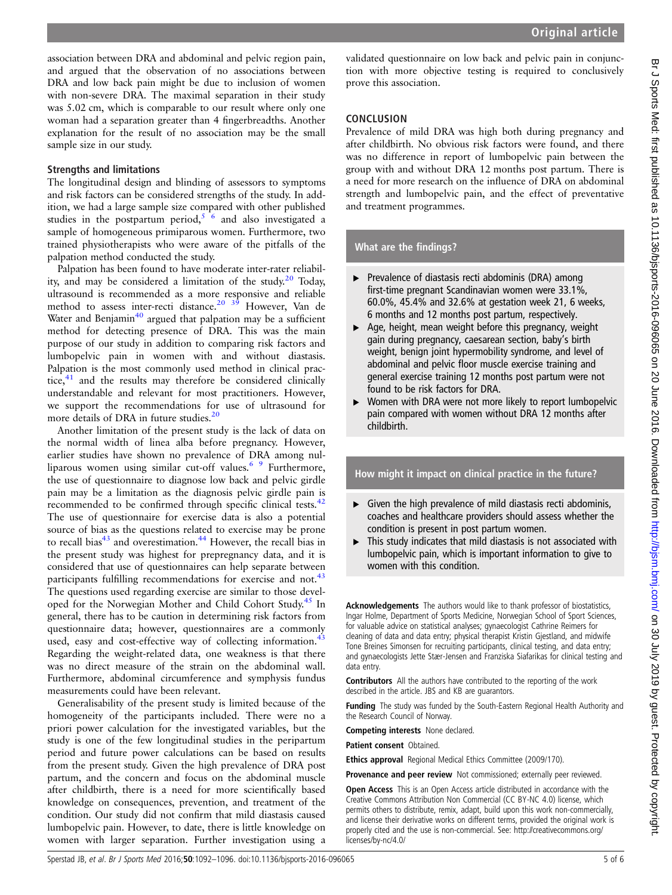association between DRA and abdominal and pelvic region pain, and argued that the observation of no associations between DRA and low back pain might be due to inclusion of women with non-severe DRA. The maximal separation in their study was 5.02 cm, which is comparable to our result where only one woman had a separation greater than 4 fingerbreadths. Another explanation for the result of no association may be the small sample size in our study.

#### Strengths and limitations

The longitudinal design and blinding of assessors to symptoms and risk factors can be considered strengths of the study. In addition, we had a large sample size compared with other published studies in the postpartum period,<sup>[5 6](#page-5-0)</sup> and also investigated a sample of homogeneous primiparous women. Furthermore, two trained physiotherapists who were aware of the pitfalls of the palpation method conducted the study.

Palpation has been found to have moderate inter-rater reliability, and may be considered a limitation of the study. $20$  Today, ultrasound is recommended as a more responsive and reliable method to assess inter-recti distance.<sup>[20 39](#page-5-0)</sup> However, Van de Water and Benjamin $40$  argued that palpation may be a sufficient method for detecting presence of DRA. This was the main purpose of our study in addition to comparing risk factors and lumbopelvic pain in women with and without diastasis. Palpation is the most commonly used method in clinical practice, $41$  and the results may therefore be considered clinically understandable and relevant for most practitioners. However, we support the recommendations for use of ultrasound for more details of DRA in future studies.<sup>2</sup>

Another limitation of the present study is the lack of data on the normal width of linea alba before pregnancy. However, earlier studies have shown no prevalence of DRA among nulliparous women using similar cut-off values.<sup>6</sup> <sup>9</sup> Furthermore, the use of questionnaire to diagnose low back and pelvic girdle pain may be a limitation as the diagnosis pelvic girdle pain is recommended to be confirmed through specific clinical tests.<sup>[42](#page-5-0)</sup> The use of questionnaire for exercise data is also a potential source of bias as the questions related to exercise may be prone to recall bias<sup>[43](#page-5-0)</sup> and overestimation.<sup>[44](#page-5-0)</sup> However, the recall bias in the present study was highest for prepregnancy data, and it is considered that use of questionnaires can help separate between participants fulfilling recommendations for exercise and not.<sup>43</sup> The questions used regarding exercise are similar to those devel-oped for the Norwegian Mother and Child Cohort Study.<sup>[45](#page-5-0)</sup> In general, there has to be caution in determining risk factors from questionnaire data; however, questionnaires are a commonly used, easy and cost-effective way of collecting information.<sup>43</sup> Regarding the weight-related data, one weakness is that there was no direct measure of the strain on the abdominal wall. Furthermore, abdominal circumference and symphysis fundus measurements could have been relevant.

Generalisability of the present study is limited because of the homogeneity of the participants included. There were no a priori power calculation for the investigated variables, but the study is one of the few longitudinal studies in the peripartum period and future power calculations can be based on results from the present study. Given the high prevalence of DRA post partum, and the concern and focus on the abdominal muscle after childbirth, there is a need for more scientifically based knowledge on consequences, prevention, and treatment of the condition. Our study did not confirm that mild diastasis caused lumbopelvic pain. However, to date, there is little knowledge on women with larger separation. Further investigation using a

validated questionnaire on low back and pelvic pain in conjunction with more objective testing is required to conclusively prove this association.

## CONCLUSION

Prevalence of mild DRA was high both during pregnancy and after childbirth. No obvious risk factors were found, and there was no difference in report of lumbopelvic pain between the group with and without DRA 12 months post partum. There is a need for more research on the influence of DRA on abdominal strength and lumbopelvic pain, and the effect of preventative and treatment programmes.

## What are the findings?

- ▶ Prevalence of diastasis recti abdominis (DRA) among first-time pregnant Scandinavian women were 33.1%, 60.0%, 45.4% and 32.6% at gestation week 21, 6 weeks, 6 months and 12 months post partum, respectively.
- $\triangleright$  Age, height, mean weight before this pregnancy, weight gain during pregnancy, caesarean section, baby's birth weight, benign joint hypermobility syndrome, and level of abdominal and pelvic floor muscle exercise training and general exercise training 12 months post partum were not found to be risk factors for DRA.
- ▶ Women with DRA were not more likely to report lumbopelvic pain compared with women without DRA 12 months after childbirth.

How might it impact on clinical practice in the future?

- $\triangleright$  Given the high prevalence of mild diastasis recti abdominis, coaches and healthcare providers should assess whether the condition is present in post partum women.
- ▸ This study indicates that mild diastasis is not associated with lumbopelvic pain, which is important information to give to women with this condition.

Acknowledgements The authors would like to thank professor of biostatistics, Ingar Holme, Department of Sports Medicine, Norwegian School of Sport Sciences, for valuable advice on statistical analyses; gynaecologist Cathrine Reimers for cleaning of data and data entry; physical therapist Kristin Gjestland, and midwife Tone Breines Simonsen for recruiting participants, clinical testing, and data entry; and gynaecologists Jette Stær-Jensen and Franziska Siafarikas for clinical testing and data entry.

Contributors All the authors have contributed to the reporting of the work described in the article. JBS and KB are guarantors.

Funding The study was funded by the South-Eastern Regional Health Authority and the Research Council of Norway.

Competing interests None declared.

Patient consent Obtained.

Ethics approval Regional Medical Ethics Committee (2009/170).

Provenance and peer review Not commissioned; externally peer reviewed.

Open Access This is an Open Access article distributed in accordance with the Creative Commons Attribution Non Commercial (CC BY-NC 4.0) license, which permits others to distribute, remix, adapt, build upon this work non-commercially, and license their derivative works on different terms, provided the original work is properly cited and the use is non-commercial. See: [http://creativecommons.org/](http://creativecommons.org/licenses/by-nc/4.0/) [licenses/by-nc/4.0/](http://creativecommons.org/licenses/by-nc/4.0/)